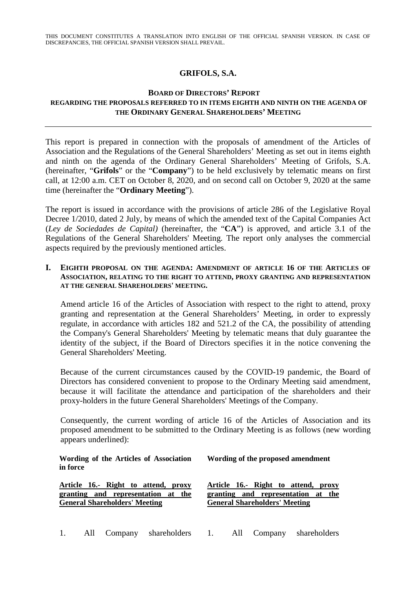THIS DOCUMENT CONSTITUTES A TRANSLATION INTO ENGLISH OF THE OFFICIAL SPANISH VERSION. IN CASE OF DISCREPANCIES, THE OFFICIAL SPANISH VERSION SHALL PREVAIL.

## **GRIFOLS, S.A.**

## **BOARD OF DIRECTORS' REPORT REGARDING THE PROPOSALS REFERRED TO IN ITEMS EIGHTH AND NINTH ON THE AGENDA OF THE ORDINARY GENERAL SHAREHOLDERS' MEETING**

This report is prepared in connection with the proposals of amendment of the Articles of Association and the Regulations of the General Shareholders' Meeting as set out in items eighth and ninth on the agenda of the Ordinary General Shareholders' Meeting of Grifols, S.A. (hereinafter, "**Grifols**" or the "**Company**") to be held exclusively by telematic means on first call, at 12:00 a.m. CET on October 8, 2020, and on second call on October 9, 2020 at the same time (hereinafter the "**Ordinary Meeting**").

The report is issued in accordance with the provisions of article 286 of the Legislative Royal Decree 1/2010, dated 2 July, by means of which the amended text of the Capital Companies Act (*Ley de Sociedades de Capital)* (hereinafter, the "**CA**") is approved, and article 3.1 of the Regulations of the General Shareholders' Meeting. The report only analyses the commercial aspects required by the previously mentioned articles.

#### **I. EIGHTH PROPOSAL ON THE AGENDA: AMENDMENT OF ARTICLE 16 OF THE ARTICLES OF ASSOCIATION, RELATING TO THE RIGHT TO ATTEND, PROXY GRANTING AND REPRESENTATION AT THE GENERAL SHAREHOLDERS' MEETING.**

Amend article 16 of the Articles of Association with respect to the right to attend, proxy granting and representation at the General Shareholders' Meeting, in order to expressly regulate, in accordance with articles 182 and 521.2 of the CA, the possibility of attending the Company's General Shareholders' Meeting by telematic means that duly guarantee the identity of the subject, if the Board of Directors specifies it in the notice convening the General Shareholders' Meeting.

Because of the current circumstances caused by the COVID-19 pandemic, the Board of Directors has considered convenient to propose to the Ordinary Meeting said amendment, because it will facilitate the attendance and participation of the shareholders and their proxy-holders in the future General Shareholders' Meetings of the Company.

Consequently, the current wording of article 16 of the Articles of Association and its proposed amendment to be submitted to the Ordinary Meeting is as follows (new wording appears underlined):

**Wording of the Articles of Association in force**

**General Shareholders' Meeting**

**Article 16.- Right to attend, proxy granting and representation at the**

**Article 16.- Right to attend, proxy granting and representation at the**

**General Shareholders' Meeting**

**Wording of the proposed amendment**

1. All Company shareholders 1. All Company shareholders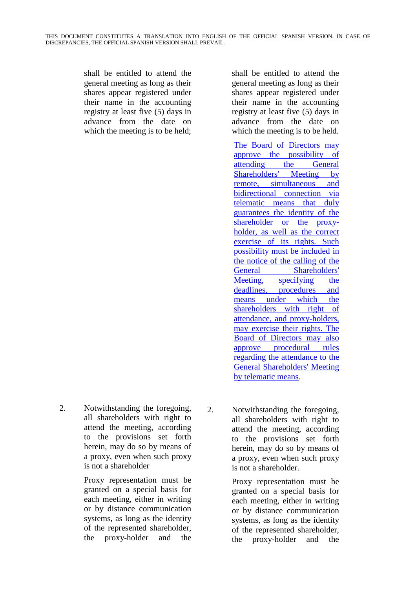shall be entitled to attend the general meeting as long as their shares appear registered under their name in the accounting registry at least five (5) days in advance from the date on which the meeting is to be held; shall be entitled to attend the general meeting as long as their shares appear registered under their name in the accounting registry at least five (5) days in advance from the date on which the meeting is to be held.

The Board of Directors may approve the possibility of attending the General Shareholders' Meeting by remote, simultaneous and bidirectional connection via telematic means that duly guarantees the identity of the shareholder or the proxyholder, as well as the correct exercise of its rights. Such possibility must be included in the notice of the calling of the General Shareholders' Meeting, specifying the deadlines, procedures and means under which the shareholders with right of attendance, and proxy-holders, may exercise their rights. The Board of Directors may also approve procedural rules regarding the attendance to the General Shareholders' Meeting by telematic means.

2. Notwithstanding the foregoing, all shareholders with right to attend the meeting, according to the provisions set forth herein, may do so by means of a proxy, even when such proxy is not a shareholder

> Proxy representation must be granted on a special basis for each meeting, either in writing or by distance communication systems, as long as the identity of the represented shareholder, the proxy-holder and the

2. Notwithstanding the foregoing, all shareholders with right to attend the meeting, according to the provisions set forth herein, may do so by means of a proxy, even when such proxy is not a shareholder.

> Proxy representation must be granted on a special basis for each meeting, either in writing or by distance communication systems, as long as the identity of the represented shareholder, the proxy-holder and the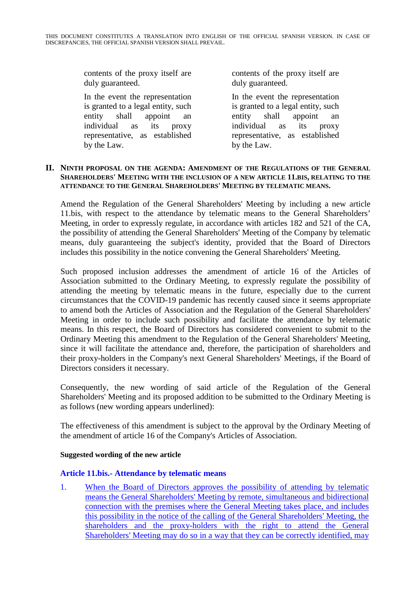contents of the proxy itself are duly guaranteed.

In the event the representation is granted to a legal entity, such entity shall appoint an individual as its proxy representative, as established by the Law.

contents of the proxy itself are duly guaranteed.

In the event the representation is granted to a legal entity, such entity shall appoint an individual as its proxy representative, as established by the Law.

#### **II. NINTH PROPOSAL ON THE AGENDA: AMENDMENT OF THE REGULATIONS OF THE GENERAL SHAREHOLDERS' MEETING WITH THE INCLUSION OF A NEW ARTICLE 11.BIS, RELATING TO THE ATTENDANCE TO THE GENERAL SHAREHOLDERS' MEETING BY TELEMATIC MEANS.**

Amend the Regulation of the General Shareholders' Meeting by including a new article 11.bis, with respect to the attendance by telematic means to the General Shareholders' Meeting, in order to expressly regulate, in accordance with articles 182 and 521 of the CA, the possibility of attending the General Shareholders' Meeting of the Company by telematic means, duly guaranteeing the subject's identity, provided that the Board of Directors includes this possibility in the notice convening the General Shareholders' Meeting.

Such proposed inclusion addresses the amendment of article 16 of the Articles of Association submitted to the Ordinary Meeting, to expressly regulate the possibility of attending the meeting by telematic means in the future, especially due to the current circumstances that the COVID-19 pandemic has recently caused since it seems appropriate to amend both the Articles of Association and the Regulation of the General Shareholders' Meeting in order to include such possibility and facilitate the attendance by telematic means. In this respect, the Board of Directors has considered convenient to submit to the Ordinary Meeting this amendment to the Regulation of the General Shareholders' Meeting, since it will facilitate the attendance and, therefore, the participation of shareholders and their proxy-holders in the Company's next General Shareholders' Meetings, if the Board of Directors considers it necessary.

Consequently, the new wording of said article of the Regulation of the General Shareholders' Meeting and its proposed addition to be submitted to the Ordinary Meeting is as follows (new wording appears underlined):

The effectiveness of this amendment is subject to the approval by the Ordinary Meeting of the amendment of article 16 of the Company's Articles of Association.

## **Suggested wording of the new article**

## **Article 11.bis.- Attendance by telematic means**

1. When the Board of Directors approves the possibility of attending by telematic means the General Shareholders' Meeting by remote, simultaneous and bidirectional connection with the premises where the General Meeting takes place, and includes this possibility in the notice of the calling of the General Shareholders' Meeting, the shareholders and the proxy-holders with the right to attend the General Shareholders' Meeting may do so in a way that they can be correctly identified, may